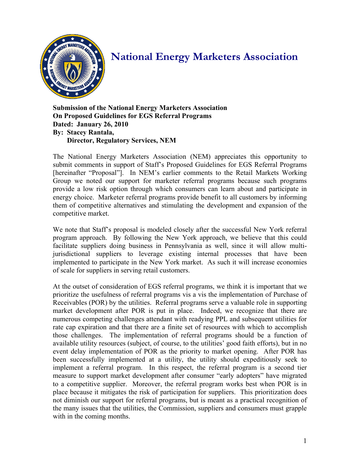

## **National Energy Marketers Association**

**Submission of the National Energy Marketers Association On Proposed Guidelines for EGS Referral Programs Dated: January 26, 2010 By: Stacey Rantala, Director, Regulatory Services, NEM** 

The National Energy Marketers Association (NEM) appreciates this opportunity to submit comments in support of Staff's Proposed Guidelines for EGS Referral Programs [hereinafter "Proposal"]. In NEM's earlier comments to the Retail Markets Working Group we noted our support for marketer referral programs because such programs provide a low risk option through which consumers can learn about and participate in energy choice. Marketer referral programs provide benefit to all customers by informing them of competitive alternatives and stimulating the development and expansion of the competitive market.

We note that Staff's proposal is modeled closely after the successful New York referral program approach. By following the New York approach, we believe that this could facilitate suppliers doing business in Pennsylvania as well, since it will allow multijurisdictional suppliers to leverage existing internal processes that have been implemented to participate in the New York market. As such it will increase economies of scale for suppliers in serving retail customers.

At the outset of consideration of EGS referral programs, we think it is important that we prioritize the usefulness of referral programs vis a vis the implementation of Purchase of Receivables (POR) by the utilities. Referral programs serve a valuable role in supporting market development after POR is put in place. Indeed, we recognize that there are numerous competing challenges attendant with readying PPL and subsequent utilities for rate cap expiration and that there are a finite set of resources with which to accomplish those challenges. The implementation of referral programs should be a function of available utility resources (subject, of course, to the utilities' good faith efforts), but in no event delay implementation of POR as the priority to market opening. After POR has been successfully implemented at a utility, the utility should expeditiously seek to implement a referral program. In this respect, the referral program is a second tier measure to support market development after consumer "early adopters" have migrated to a competitive supplier. Moreover, the referral program works best when POR is in place because it mitigates the risk of participation for suppliers. This prioritization does not diminish our support for referral programs, but is meant as a practical recognition of the many issues that the utilities, the Commission, suppliers and consumers must grapple with in the coming months.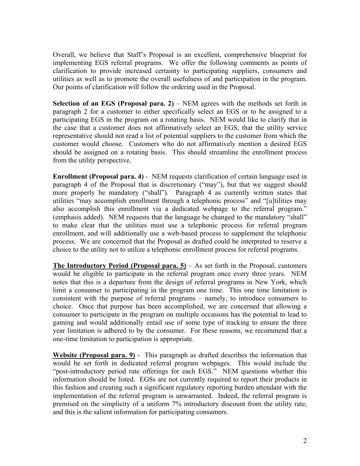Overall, we believe that Staff's Proposal is an excellent, comprehensive blueprint for implementing EGS referral programs. We offer the following comments as points of clarification to provide increased certainty to participating suppliers, consumers and utilities as well as to promote the overall usefulness of and participation in the program. Our points of clarification will follow the ordering used in the Proposal.

**Selection of an EGS (Proposal para. 2)** – NEM agrees with the methods set forth in paragraph 2 for a customer to either specifically select an EGS or to be assigned to a participating EGS in the program on a rotating basis. NEM would like to clarify that in the case that a customer does not affirmatively select an EGS, that the utility service representative should not read a list of potential suppliers to the customer from which the customer would choose. Customers who do not affirmatively mention a desired EGS should be assigned on a rotating basis. This should streamline the enrollment process from the utility perspective.

**Enrollment (Proposal para. 4)** - NEM requests clarification of certain language used in paragraph 4 of the Proposal that is discretionary ("may"), but that we suggest should more properly be mandatory ("shall"). Paragraph 4 as currently written states that utilities "may accomplish enrollment through a telephonic process" and "[u]tilities may also accomplish this enrollment via a dedicated webpage to the referral program." (emphasis added). NEM requests that the language be changed to the mandatory "shall" to make clear that the utilities must use a telephonic process for referral program enrollment, and will additionally use a web-based process to supplement the telephonic process. We are concerned that the Proposal as drafted could be interpreted to reserve a choice to the utility not to utilize a telephonic enrollment process for referral programs.

**The Introductory Period (Proposal para. 5)** – As set forth in the Proposal, customers would be eligible to participate in the referral program once every three years. NEM notes that this is a departure from the design of referral programs in New York, which limit a consumer to participating in the program one time. This one time limitation is consistent with the purpose of referral programs – namely, to introduce consumers to choice. Once that purpose has been accomplished, we are concerned that allowing a consumer to participate in the program on multiple occasions has the potential to lead to gaming and would additionally entail use of some type of tracking to ensure the three year limitation is adhered to by the consumer. For these reasons, we recommend that a one-time limitation to participation is appropriate.

**Website (Proposal para. 9)** - This paragraph as drafted describes the information that would be set forth in dedicated referral program webpages. This would include the "post-introductory period rate offerings for each EGS." NEM questions whether this information should be listed. EGSs are not currently required to report their products in this fashion and creating such a significant regulatory reporting burden attendant with the implementation of the referral program is unwarranted. Indeed, the referral program is premised on the simplicity of a uniform 7% introductory discount from the utility rate, and this is the salient information for participating consumers.